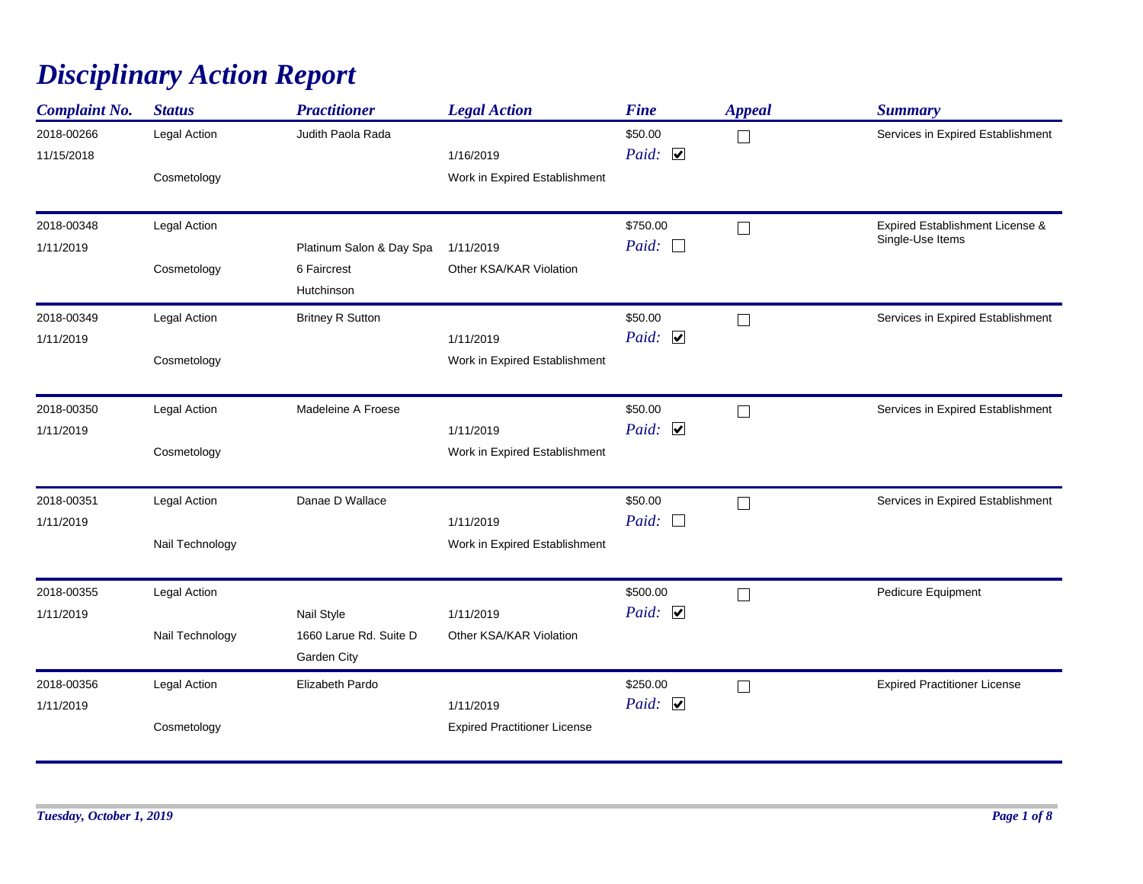## *Disciplinary Action Report*

| <b>Complaint No.</b> | <b>Status</b>       | <b>Practitioner</b>      | <b>Legal Action</b>                 | <b>Fine</b>           | <b>Appeal</b> | <b>Summary</b>                      |
|----------------------|---------------------|--------------------------|-------------------------------------|-----------------------|---------------|-------------------------------------|
| 2018-00266           | <b>Legal Action</b> | Judith Paola Rada        |                                     | \$50.00               | $\Box$        | Services in Expired Establishment   |
| 11/15/2018           |                     |                          | 1/16/2019                           | Paid: $\Box$          |               |                                     |
|                      | Cosmetology         |                          | Work in Expired Establishment       |                       |               |                                     |
| 2018-00348           | <b>Legal Action</b> |                          |                                     | \$750.00              | $\Box$        | Expired Establishment License &     |
| 1/11/2019            |                     | Platinum Salon & Day Spa | 1/11/2019                           | $Paid: \Box$          |               | Single-Use Items                    |
|                      | Cosmetology         | 6 Faircrest              | Other KSA/KAR Violation             |                       |               |                                     |
|                      |                     | Hutchinson               |                                     |                       |               |                                     |
| 2018-00349           | Legal Action        | <b>Britney R Sutton</b>  |                                     | \$50.00               | $\Box$        | Services in Expired Establishment   |
| 1/11/2019            |                     |                          | 1/11/2019                           | Paid: $\Box$          |               |                                     |
|                      | Cosmetology         |                          | Work in Expired Establishment       |                       |               |                                     |
| 2018-00350           | Legal Action        | Madeleine A Froese       |                                     | \$50.00               | $\Box$        | Services in Expired Establishment   |
| 1/11/2019            |                     |                          | 1/11/2019                           | Paid: $\Box$          |               |                                     |
|                      | Cosmetology         |                          | Work in Expired Establishment       |                       |               |                                     |
|                      |                     | Danae D Wallace          |                                     | \$50.00               |               |                                     |
| 2018-00351           | Legal Action        |                          |                                     | Paid:<br>$\Box$       | $\Box$        | Services in Expired Establishment   |
| 1/11/2019            |                     |                          | 1/11/2019                           |                       |               |                                     |
|                      | Nail Technology     |                          | Work in Expired Establishment       |                       |               |                                     |
| 2018-00355           | Legal Action        |                          |                                     | \$500.00              | $\Box$        | Pedicure Equipment                  |
| 1/11/2019            |                     | Nail Style               | 1/11/2019                           | Paid: $\Box$          |               |                                     |
|                      | Nail Technology     | 1660 Larue Rd. Suite D   | Other KSA/KAR Violation             |                       |               |                                     |
|                      |                     | Garden City              |                                     |                       |               |                                     |
| 2018-00356           | Legal Action        | Elizabeth Pardo          |                                     | \$250.00              | $\Box$        | <b>Expired Practitioner License</b> |
| 1/11/2019            |                     |                          | 1/11/2019                           | Paid: $\triangledown$ |               |                                     |
|                      | Cosmetology         |                          | <b>Expired Practitioner License</b> |                       |               |                                     |
|                      |                     |                          |                                     |                       |               |                                     |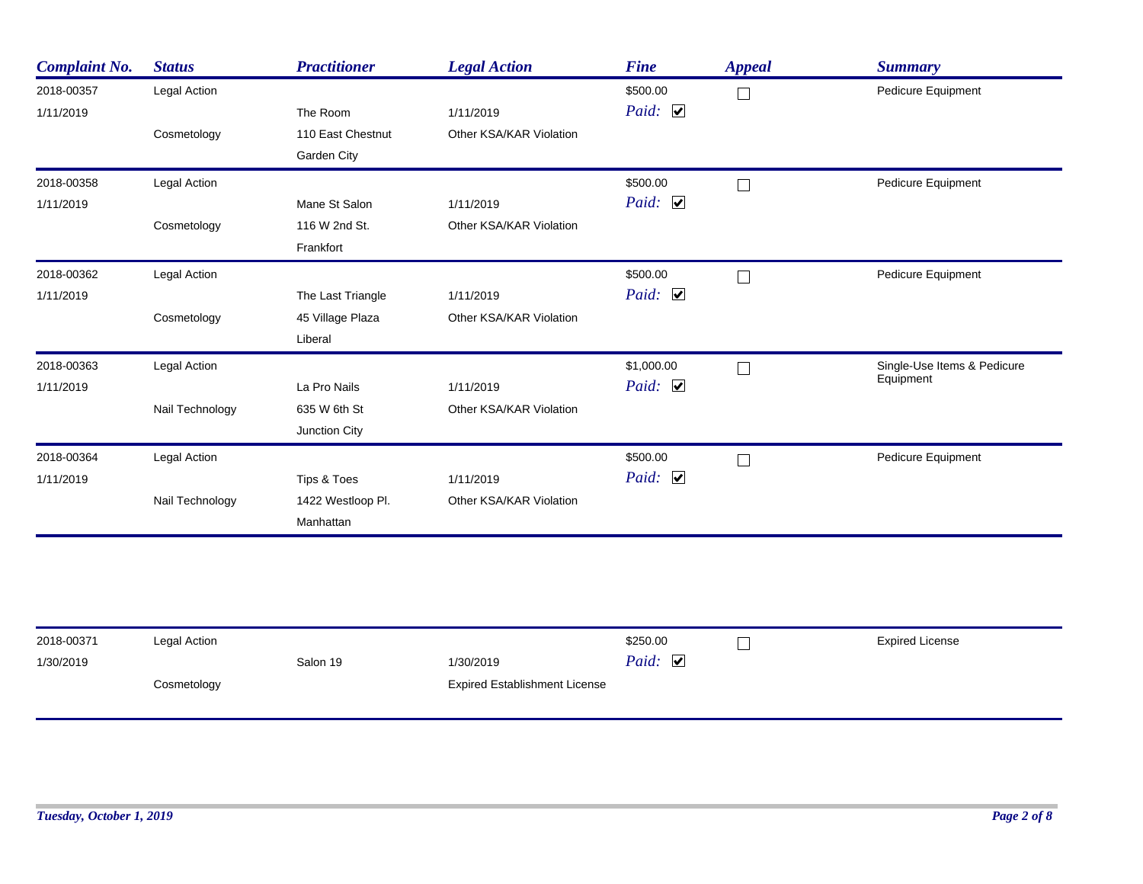| <b>Complaint No.</b> | <b>Status</b>       | <b>Practitioner</b> | <b>Legal Action</b>     | <b>Fine</b>  | <b>Appeal</b> | <b>Summary</b>              |
|----------------------|---------------------|---------------------|-------------------------|--------------|---------------|-----------------------------|
| 2018-00357           | Legal Action        |                     |                         | \$500.00     | $\Box$        | Pedicure Equipment          |
| 1/11/2019            |                     | The Room            | 1/11/2019               | Paid: $\Box$ |               |                             |
|                      | Cosmetology         | 110 East Chestnut   | Other KSA/KAR Violation |              |               |                             |
|                      |                     | Garden City         |                         |              |               |                             |
| 2018-00358           | Legal Action        |                     |                         | \$500.00     | $\Box$        | Pedicure Equipment          |
| 1/11/2019            |                     | Mane St Salon       | 1/11/2019               | Paid: $\Box$ |               |                             |
|                      | Cosmetology         | 116 W 2nd St.       | Other KSA/KAR Violation |              |               |                             |
|                      |                     | Frankfort           |                         |              |               |                             |
| 2018-00362           | <b>Legal Action</b> |                     |                         | \$500.00     | $\Box$        | Pedicure Equipment          |
| 1/11/2019            |                     | The Last Triangle   | 1/11/2019               | Paid: $\Box$ |               |                             |
|                      | Cosmetology         | 45 Village Plaza    | Other KSA/KAR Violation |              |               |                             |
|                      |                     | Liberal             |                         |              |               |                             |
| 2018-00363           | Legal Action        |                     |                         | \$1,000.00   | $\Box$        | Single-Use Items & Pedicure |
| 1/11/2019            |                     | La Pro Nails        | 1/11/2019               | Paid: $\Box$ |               | Equipment                   |
|                      | Nail Technology     | 635 W 6th St        | Other KSA/KAR Violation |              |               |                             |
|                      |                     | Junction City       |                         |              |               |                             |
| 2018-00364           | Legal Action        |                     |                         | \$500.00     | $\Box$        | Pedicure Equipment          |
| 1/11/2019            |                     | Tips & Toes         | 1/11/2019               | Paid: $\Box$ |               |                             |
|                      | Nail Technology     | 1422 Westloop Pl.   | Other KSA/KAR Violation |              |               |                             |
|                      |                     | Manhattan           |                         |              |               |                             |

| 2018-00371<br>1/30/2019 | Legal Action<br>Salon 19 |  | 1/30/2019                            | \$250.00<br><b>Expired License</b><br>Paid: $\Box$ |  |  |
|-------------------------|--------------------------|--|--------------------------------------|----------------------------------------------------|--|--|
|                         | Cosmetology              |  | <b>Expired Establishment License</b> |                                                    |  |  |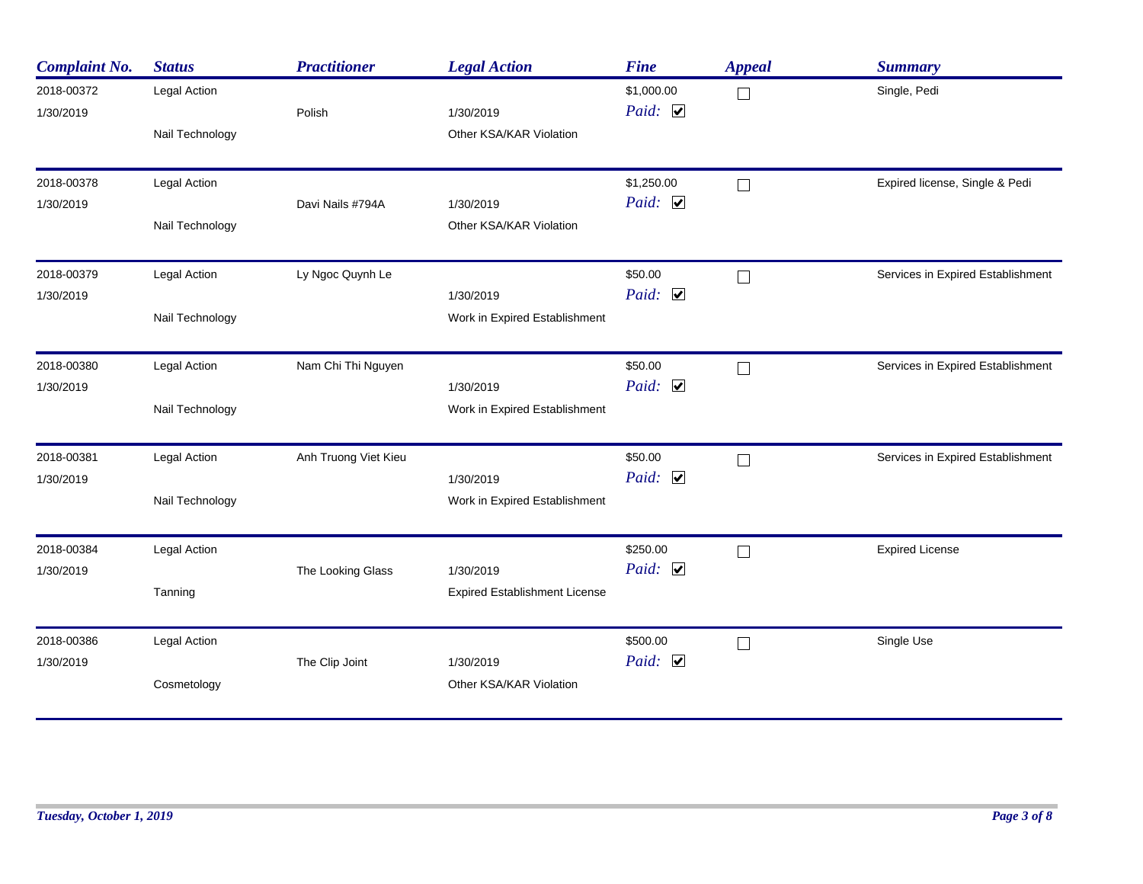| <b>Complaint No.</b>    | <b>Status</b>                   | <b>Practitioner</b>  | <b>Legal Action</b>                               | <b>Fine</b>                         | <b>Appeal</b> | <b>Summary</b>                    |
|-------------------------|---------------------------------|----------------------|---------------------------------------------------|-------------------------------------|---------------|-----------------------------------|
| 2018-00372<br>1/30/2019 | Legal Action<br>Nail Technology | Polish               | 1/30/2019<br>Other KSA/KAR Violation              | \$1,000.00<br>Paid: $\triangledown$ | $\Box$        | Single, Pedi                      |
| 2018-00378<br>1/30/2019 | Legal Action<br>Nail Technology | Davi Nails #794A     | 1/30/2019<br>Other KSA/KAR Violation              | \$1,250.00<br>Paid: $\Box$          | $\Box$        | Expired license, Single & Pedi    |
| 2018-00379<br>1/30/2019 | Legal Action<br>Nail Technology | Ly Ngoc Quynh Le     | 1/30/2019<br>Work in Expired Establishment        | \$50.00<br>Paid: $\Box$             | $\Box$        | Services in Expired Establishment |
| 2018-00380<br>1/30/2019 | Legal Action<br>Nail Technology | Nam Chi Thi Nguyen   | 1/30/2019<br>Work in Expired Establishment        | \$50.00<br>Paid: $\Box$             | П             | Services in Expired Establishment |
| 2018-00381<br>1/30/2019 | Legal Action<br>Nail Technology | Anh Truong Viet Kieu | 1/30/2019<br>Work in Expired Establishment        | \$50.00<br>Paid: $\Box$             | $\Box$        | Services in Expired Establishment |
| 2018-00384<br>1/30/2019 | Legal Action<br>Tanning         | The Looking Glass    | 1/30/2019<br><b>Expired Establishment License</b> | \$250.00<br>Paid: $\Box$            | $\Box$        | <b>Expired License</b>            |
| 2018-00386<br>1/30/2019 | Legal Action<br>Cosmetology     | The Clip Joint       | 1/30/2019<br>Other KSA/KAR Violation              | \$500.00<br>Paid: $\Box$            | $\Box$        | Single Use                        |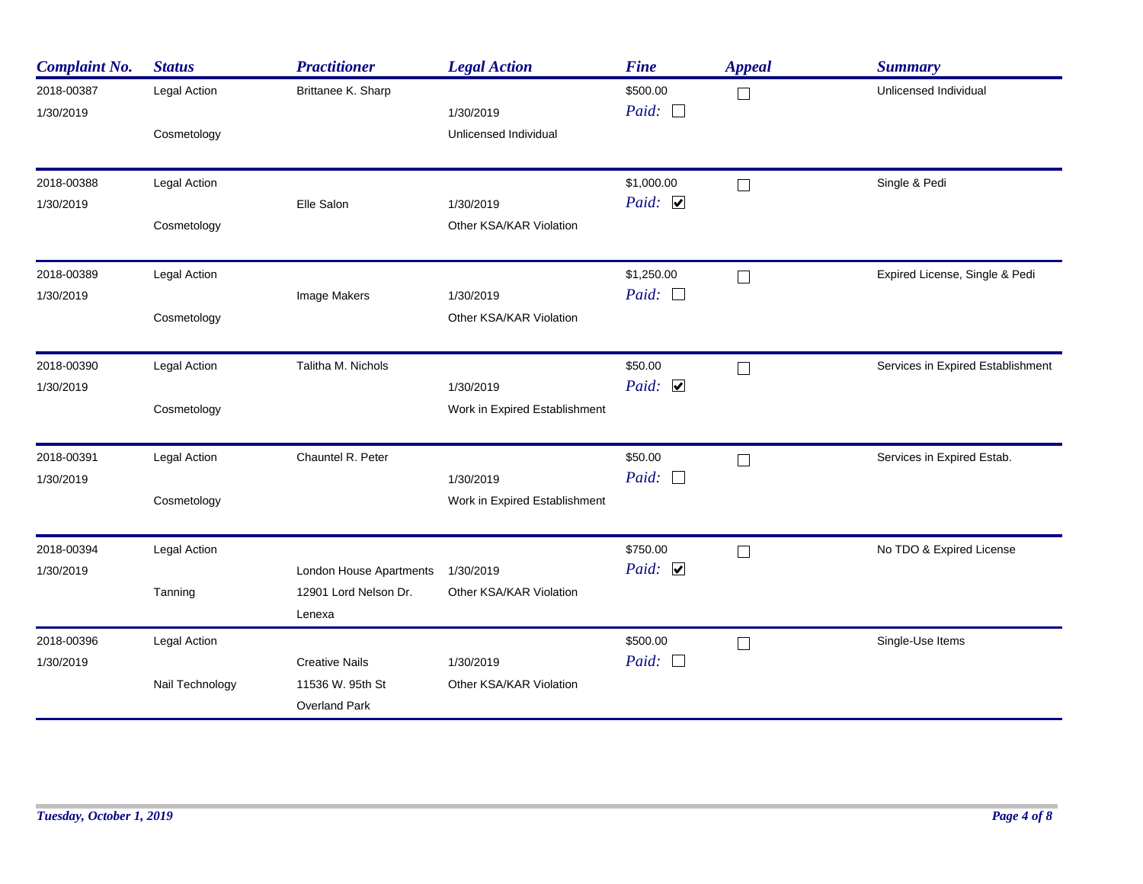| <b>Complaint No.</b>    | <b>Status</b>                   | <b>Practitioner</b>                                               | <b>Legal Action</b>                        | <b>Fine</b>                 | <b>Appeal</b> | <b>Summary</b>                    |
|-------------------------|---------------------------------|-------------------------------------------------------------------|--------------------------------------------|-----------------------------|---------------|-----------------------------------|
| 2018-00387<br>1/30/2019 | Legal Action<br>Cosmetology     | Brittanee K. Sharp                                                | 1/30/2019<br>Unlicensed Individual         | \$500.00<br>Paid: $\Box$    | $\Box$        | Unlicensed Individual             |
| 2018-00388<br>1/30/2019 | Legal Action<br>Cosmetology     | Elle Salon                                                        | 1/30/2019<br>Other KSA/KAR Violation       | \$1,000.00<br>Paid: $\Box$  | $\Box$        | Single & Pedi                     |
| 2018-00389<br>1/30/2019 | Legal Action<br>Cosmetology     | Image Makers                                                      | 1/30/2019<br>Other KSA/KAR Violation       | \$1,250.00<br>Paid: $\Box$  | $\Box$        | Expired License, Single & Pedi    |
| 2018-00390<br>1/30/2019 | Legal Action<br>Cosmetology     | Talitha M. Nichols                                                | 1/30/2019<br>Work in Expired Establishment | \$50.00<br>Paid: $\Box$     | П             | Services in Expired Establishment |
| 2018-00391<br>1/30/2019 | Legal Action<br>Cosmetology     | Chauntel R. Peter                                                 | 1/30/2019<br>Work in Expired Establishment | \$50.00<br>Paid: $\square$  | $\Box$        | Services in Expired Estab.        |
| 2018-00394<br>1/30/2019 | Legal Action<br>Tanning         | London House Apartments<br>12901 Lord Nelson Dr.<br>Lenexa        | 1/30/2019<br>Other KSA/KAR Violation       | \$750.00<br>Paid: $\Box$    | $\Box$        | No TDO & Expired License          |
| 2018-00396<br>1/30/2019 | Legal Action<br>Nail Technology | <b>Creative Nails</b><br>11536 W. 95th St<br><b>Overland Park</b> | 1/30/2019<br>Other KSA/KAR Violation       | \$500.00<br>Paid:<br>$\Box$ | $\Box$        | Single-Use Items                  |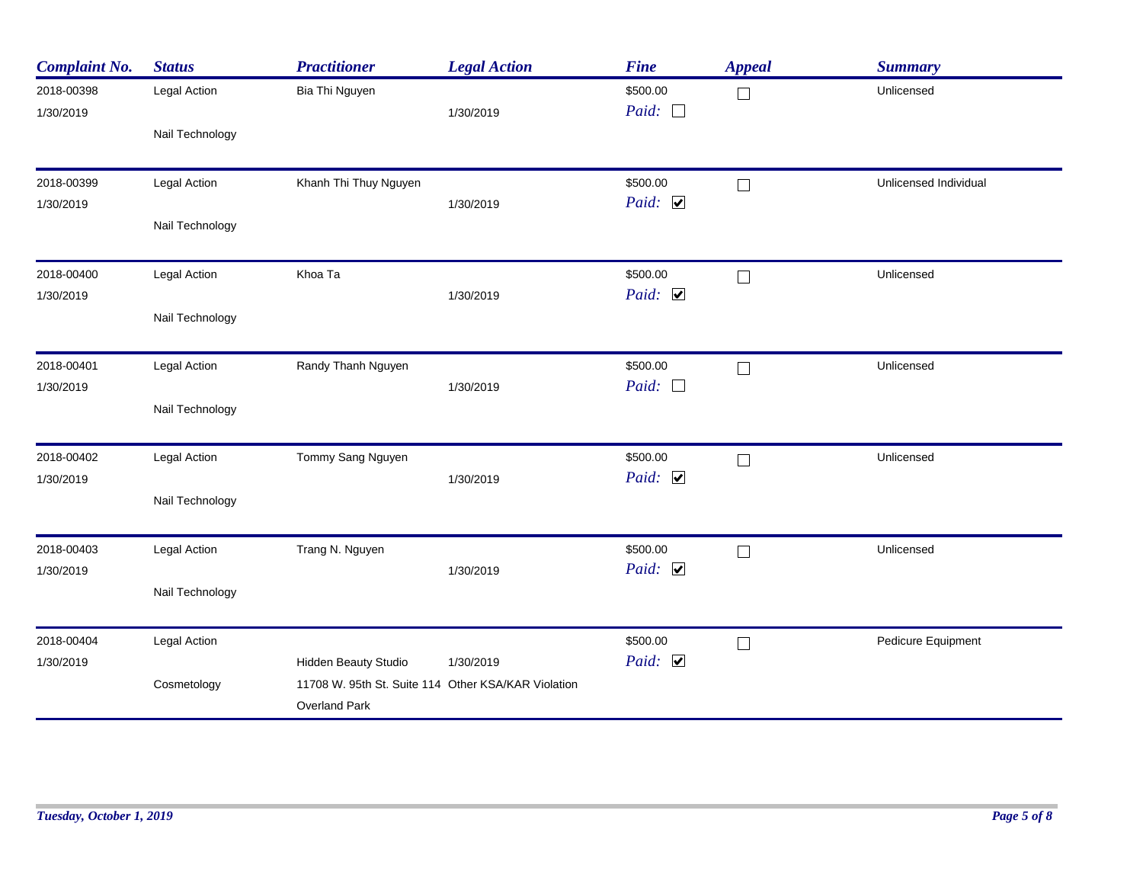| <b>Complaint No.</b>    | <b>Status</b>   | <b>Practitioner</b>                                                                                        | <b>Legal Action</b> | <b>Fine</b>              | <b>Appeal</b> | <b>Summary</b>        |
|-------------------------|-----------------|------------------------------------------------------------------------------------------------------------|---------------------|--------------------------|---------------|-----------------------|
| 2018-00398<br>1/30/2019 | Legal Action    | Bia Thi Nguyen                                                                                             | 1/30/2019           | \$500.00<br>Paid: $\Box$ | $\Box$        | Unlicensed            |
|                         | Nail Technology |                                                                                                            |                     |                          |               |                       |
| 2018-00399              | Legal Action    | Khanh Thi Thuy Nguyen                                                                                      |                     | \$500.00<br>Paid: $\Box$ | $\Box$        | Unlicensed Individual |
| 1/30/2019               | Nail Technology |                                                                                                            | 1/30/2019           |                          |               |                       |
| 2018-00400              | Legal Action    | Khoa Ta                                                                                                    |                     | \$500.00                 | $\Box$        | Unlicensed            |
| 1/30/2019               | Nail Technology |                                                                                                            | 1/30/2019           | Paid: $\Box$             |               |                       |
| 2018-00401              | Legal Action    | Randy Thanh Nguyen                                                                                         |                     | \$500.00                 | П             | Unlicensed            |
| 1/30/2019               | Nail Technology |                                                                                                            | 1/30/2019           | Paid: $\Box$             |               |                       |
| 2018-00402              | Legal Action    | Tommy Sang Nguyen                                                                                          |                     | \$500.00                 | $\Box$        | Unlicensed            |
| 1/30/2019               | Nail Technology |                                                                                                            | 1/30/2019           | Paid: $\Box$             |               |                       |
| 2018-00403              | Legal Action    | Trang N. Nguyen                                                                                            |                     | \$500.00                 | $\Box$        | Unlicensed            |
| 1/30/2019               | Nail Technology |                                                                                                            | 1/30/2019           | Paid: $\triangledown$    |               |                       |
| 2018-00404              | Legal Action    |                                                                                                            |                     | \$500.00                 | $\Box$        | Pedicure Equipment    |
| 1/30/2019               | Cosmetology     | <b>Hidden Beauty Studio</b><br>11708 W. 95th St. Suite 114 Other KSA/KAR Violation<br><b>Overland Park</b> | 1/30/2019           | Paid: $\Box$             |               |                       |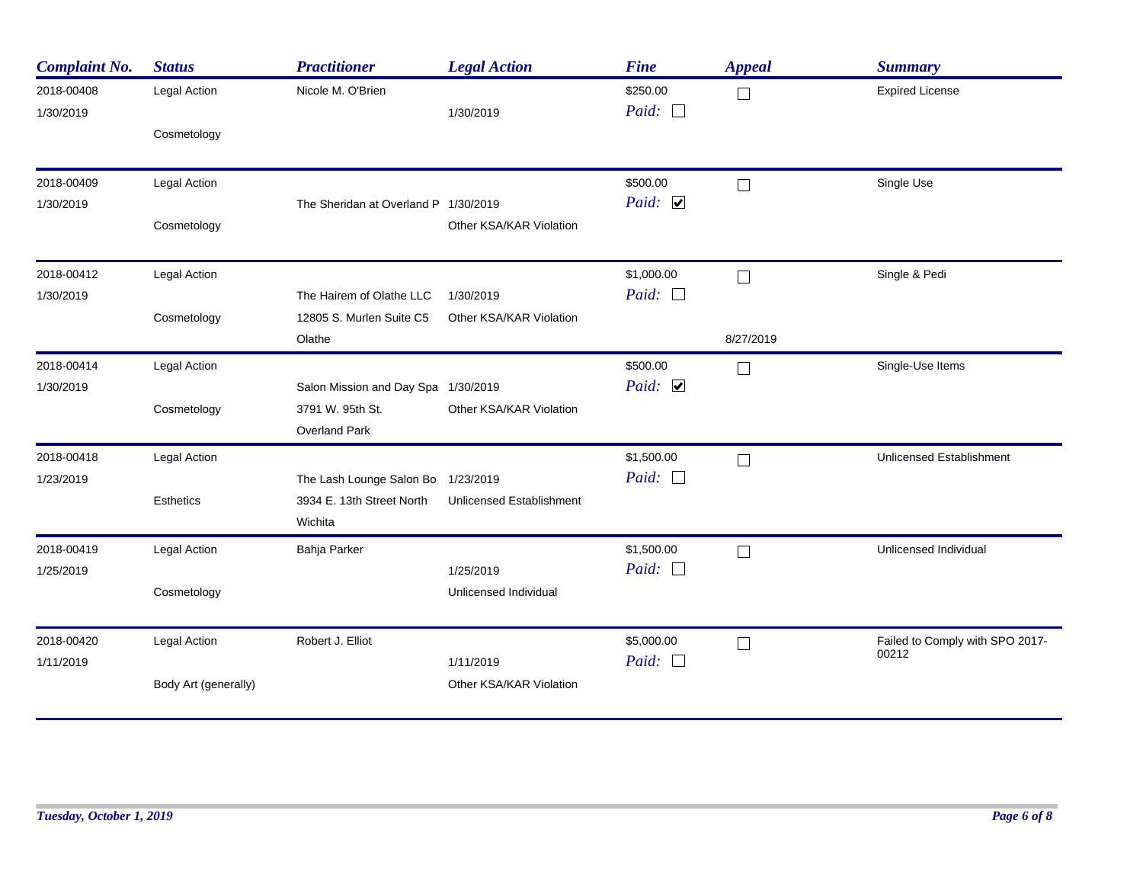| <b>Complaint No.</b>    | <b>Status</b>        | <b>Practitioner</b>                  | <b>Legal Action</b>             | <b>Fine</b>              | <b>Appeal</b>     | <b>Summary</b>                           |
|-------------------------|----------------------|--------------------------------------|---------------------------------|--------------------------|-------------------|------------------------------------------|
| 2018-00408<br>1/30/2019 | Legal Action         | Nicole M. O'Brien                    | 1/30/2019                       | \$250.00<br>Paid: $\Box$ | $\vert \ \ \vert$ | <b>Expired License</b>                   |
|                         | Cosmetology          |                                      |                                 |                          |                   |                                          |
| 2018-00409              | Legal Action         |                                      |                                 | \$500.00                 | $\Box$            | Single Use                               |
| 1/30/2019               |                      | The Sheridan at Overland P 1/30/2019 |                                 | Paid: $\Box$             |                   |                                          |
|                         | Cosmetology          |                                      | Other KSA/KAR Violation         |                          |                   |                                          |
| 2018-00412              | Legal Action         |                                      |                                 | \$1,000.00               | $\Box$            | Single & Pedi                            |
| 1/30/2019               |                      | The Hairem of Olathe LLC             | 1/30/2019                       | Paid: $\Box$             |                   |                                          |
|                         | Cosmetology          | 12805 S. Murlen Suite C5<br>Olathe   | Other KSA/KAR Violation         |                          | 8/27/2019         |                                          |
| 2018-00414              | Legal Action         |                                      |                                 | \$500.00                 | $\Box$            | Single-Use Items                         |
| 1/30/2019               |                      | Salon Mission and Day Spa 1/30/2019  |                                 | Paid: $\Box$             |                   |                                          |
|                         | Cosmetology          | 3791 W. 95th St.                     | Other KSA/KAR Violation         |                          |                   |                                          |
|                         |                      | Overland Park                        |                                 |                          |                   |                                          |
| 2018-00418              | Legal Action         |                                      |                                 | \$1,500.00               | $\Box$            | <b>Unlicensed Establishment</b>          |
| 1/23/2019               |                      | The Lash Lounge Salon Bo 1/23/2019   |                                 | Paid: $\Box$             |                   |                                          |
|                         | <b>Esthetics</b>     | 3934 E. 13th Street North<br>Wichita | <b>Unlicensed Establishment</b> |                          |                   |                                          |
| 2018-00419              | Legal Action         | Bahja Parker                         |                                 | \$1,500.00               | $\Box$            | Unlicensed Individual                    |
| 1/25/2019               |                      |                                      | 1/25/2019                       | Paid: $\Box$             |                   |                                          |
|                         | Cosmetology          |                                      | Unlicensed Individual           |                          |                   |                                          |
| 2018-00420              | Legal Action         | Robert J. Elliot                     |                                 | \$5,000.00               | $\perp$           | Failed to Comply with SPO 2017-<br>00212 |
| 1/11/2019               |                      |                                      | 1/11/2019                       | Paid: $\Box$             |                   |                                          |
|                         | Body Art (generally) |                                      | Other KSA/KAR Violation         |                          |                   |                                          |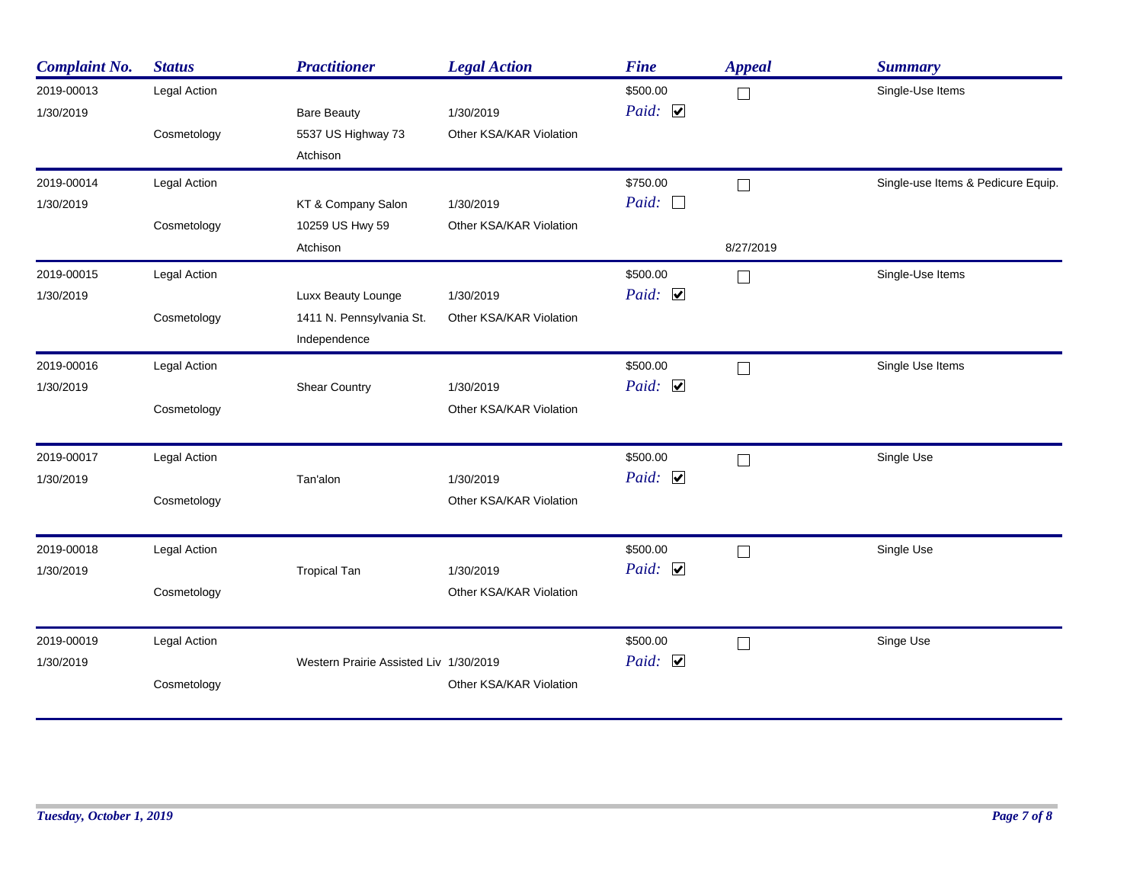| <b>Complaint No.</b>    | <b>Status</b>               | <b>Practitioner</b>                      | <b>Legal Action</b>                  | <b>Fine</b>              | <b>Appeal</b>            | <b>Summary</b>                     |
|-------------------------|-----------------------------|------------------------------------------|--------------------------------------|--------------------------|--------------------------|------------------------------------|
| 2019-00013<br>1/30/2019 | Legal Action<br>Cosmetology | <b>Bare Beauty</b><br>5537 US Highway 73 | 1/30/2019<br>Other KSA/KAR Violation | \$500.00<br>Paid: $\Box$ | П                        | Single-Use Items                   |
|                         |                             | Atchison                                 |                                      |                          |                          |                                    |
| 2019-00014              | Legal Action                |                                          |                                      | \$750.00                 | П                        | Single-use Items & Pedicure Equip. |
| 1/30/2019               |                             | KT & Company Salon                       | 1/30/2019                            | Paid: $\Box$             |                          |                                    |
|                         | Cosmetology                 | 10259 US Hwy 59<br>Atchison              | Other KSA/KAR Violation              |                          | 8/27/2019                |                                    |
|                         |                             |                                          |                                      |                          |                          |                                    |
| 2019-00015              | Legal Action                |                                          |                                      | \$500.00                 | $\mathbf{I}$             | Single-Use Items                   |
| 1/30/2019               |                             | Luxx Beauty Lounge                       | 1/30/2019                            | Paid: $\Box$             |                          |                                    |
|                         | Cosmetology                 | 1411 N. Pennsylvania St.                 | Other KSA/KAR Violation              |                          |                          |                                    |
|                         |                             | Independence                             |                                      |                          |                          |                                    |
| 2019-00016              | Legal Action                |                                          |                                      | \$500.00                 | $\Box$                   | Single Use Items                   |
| 1/30/2019               |                             | <b>Shear Country</b>                     | 1/30/2019                            | Paid: $\Box$             |                          |                                    |
|                         | Cosmetology                 |                                          | Other KSA/KAR Violation              |                          |                          |                                    |
| 2019-00017              | <b>Legal Action</b>         |                                          |                                      | \$500.00                 | $\Box$                   | Single Use                         |
| 1/30/2019               |                             | Tan'alon                                 | 1/30/2019                            | Paid: $\Box$             |                          |                                    |
|                         | Cosmetology                 |                                          | Other KSA/KAR Violation              |                          |                          |                                    |
| 2019-00018              | Legal Action                |                                          |                                      | \$500.00                 | $\Box$                   | Single Use                         |
| 1/30/2019               |                             | <b>Tropical Tan</b>                      | 1/30/2019                            | Paid: $\Box$             |                          |                                    |
|                         | Cosmetology                 |                                          | Other KSA/KAR Violation              |                          |                          |                                    |
| 2019-00019              | Legal Action                |                                          |                                      | \$500.00                 | $\overline{\phantom{a}}$ | Singe Use                          |
| 1/30/2019               |                             | Western Prairie Assisted Liv 1/30/2019   |                                      | Paid: $\Box$             |                          |                                    |
|                         | Cosmetology                 |                                          | Other KSA/KAR Violation              |                          |                          |                                    |